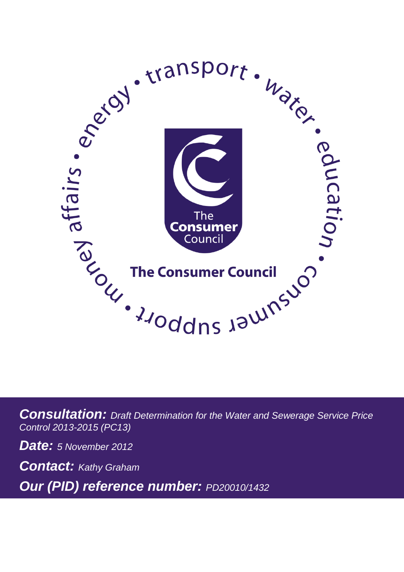

*Consultation: Draft Determination for the Water and Sewerage Service Price Control 2013-2015 (PC13)*

*Date: 5 November 2012*

*Contact: Kathy Graham*

*Our (PID) reference number: PD20010/1432*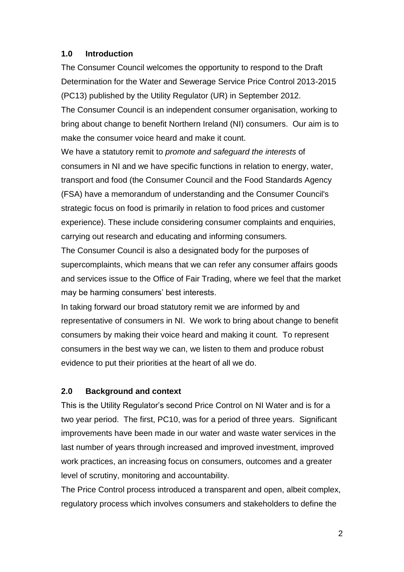#### **1.0 Introduction**

The Consumer Council welcomes the opportunity to respond to the Draft Determination for the Water and Sewerage Service Price Control 2013-2015 (PC13) published by the Utility Regulator (UR) in September 2012. The Consumer Council is an independent consumer organisation, working to bring about change to benefit Northern Ireland (NI) consumers. Our aim is to make the consumer voice heard and make it count.

We have a statutory remit to *promote and safeguard the interests* of consumers in NI and we have specific functions in relation to energy, water, transport and food (the Consumer Council and the Food Standards Agency (FSA) have a memorandum of understanding and the Consumer Council's strategic focus on food is primarily in relation to food prices and customer experience). These include considering consumer complaints and enquiries, carrying out research and educating and informing consumers.

The Consumer Council is also a designated body for the purposes of supercomplaints, which means that we can refer any consumer affairs goods and services issue to the Office of Fair Trading, where we feel that the market may be harming consumers' best interests.

In taking forward our broad statutory remit we are informed by and representative of consumers in NI. We work to bring about change to benefit consumers by making their voice heard and making it count. To represent consumers in the best way we can, we listen to them and produce robust evidence to put their priorities at the heart of all we do.

## **2.0 Background and context**

This is the Utility Regulator's second Price Control on NI Water and is for a two year period. The first, PC10, was for a period of three years. Significant improvements have been made in our water and waste water services in the last number of years through increased and improved investment, improved work practices, an increasing focus on consumers, outcomes and a greater level of scrutiny, monitoring and accountability.

The Price Control process introduced a transparent and open, albeit complex, regulatory process which involves consumers and stakeholders to define the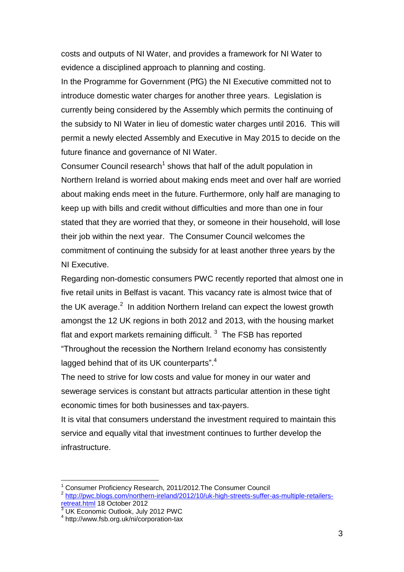costs and outputs of NI Water, and provides a framework for NI Water to evidence a disciplined approach to planning and costing.

In the Programme for Government (PfG) the NI Executive committed not to introduce domestic water charges for another three years. Legislation is currently being considered by the Assembly which permits the continuing of the subsidy to NI Water in lieu of domestic water charges until 2016. This will permit a newly elected Assembly and Executive in May 2015 to decide on the future finance and governance of NI Water.

Consumer Council research<sup>1</sup> shows that half of the adult population in Northern Ireland is worried about making ends meet and over half are worried about making ends meet in the future. Furthermore, only half are managing to keep up with bills and credit without difficulties and more than one in four stated that they are worried that they, or someone in their household, will lose their job within the next year. The Consumer Council welcomes the commitment of continuing the subsidy for at least another three years by the NI Executive.

Regarding non-domestic consumers PWC recently reported that almost one in five retail units in Belfast is vacant. This vacancy rate is almost twice that of the UK average.<sup>2</sup> In addition Northern Ireland can expect the lowest growth amongst the 12 UK regions in both 2012 and 2013, with the housing market flat and export markets remaining difficult.  $^3$  The FSB has reported "Throughout the recession the Northern Ireland economy has consistently lagged behind that of its UK counterparts".<sup>4</sup>

The need to strive for low costs and value for money in our water and sewerage services is constant but attracts particular attention in these tight economic times for both businesses and tax-payers.

It is vital that consumers understand the investment required to maintain this service and equally vital that investment continues to further develop the infrastructure.

<sup>1</sup> Consumer Proficiency Research, 2011/2012.The Consumer Council

<sup>&</sup>lt;sup>2</sup> [http://pwc.blogs.com/northern-ireland/2012/10/uk-high-streets-suffer-as-multiple-retailers](http://pwc.blogs.com/northern-ireland/2012/10/uk-high-streets-suffer-as-multiple-retailers-retreat.html)[retreat.html](http://pwc.blogs.com/northern-ireland/2012/10/uk-high-streets-suffer-as-multiple-retailers-retreat.html) 18 October 2012

<sup>&</sup>lt;sup>3</sup> UK Economic Outlook, July 2012 PWC

<sup>4</sup> http://www.fsb.org.uk/ni/corporation-tax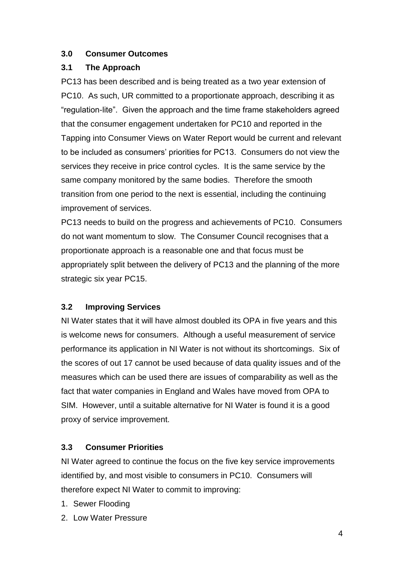## **3.0 Consumer Outcomes**

# **3.1 The Approach**

PC13 has been described and is being treated as a two year extension of PC10. As such, UR committed to a proportionate approach, describing it as "regulation-lite". Given the approach and the time frame stakeholders agreed that the consumer engagement undertaken for PC10 and reported in the Tapping into Consumer Views on Water Report would be current and relevant to be included as consumers' priorities for PC13. Consumers do not view the services they receive in price control cycles. It is the same service by the same company monitored by the same bodies. Therefore the smooth transition from one period to the next is essential, including the continuing improvement of services.

PC13 needs to build on the progress and achievements of PC10. Consumers do not want momentum to slow. The Consumer Council recognises that a proportionate approach is a reasonable one and that focus must be appropriately split between the delivery of PC13 and the planning of the more strategic six year PC15.

# **3.2 Improving Services**

NI Water states that it will have almost doubled its OPA in five years and this is welcome news for consumers. Although a useful measurement of service performance its application in NI Water is not without its shortcomings. Six of the scores of out 17 cannot be used because of data quality issues and of the measures which can be used there are issues of comparability as well as the fact that water companies in England and Wales have moved from OPA to SIM. However, until a suitable alternative for NI Water is found it is a good proxy of service improvement.

# **3.3 Consumer Priorities**

NI Water agreed to continue the focus on the five key service improvements identified by, and most visible to consumers in PC10. Consumers will therefore expect NI Water to commit to improving:

- 1. Sewer Flooding
- 2. Low Water Pressure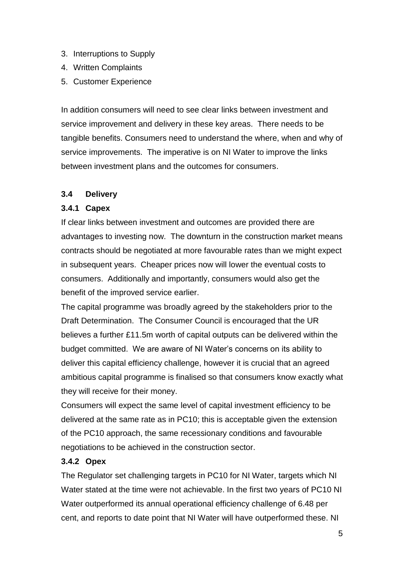- 3. Interruptions to Supply
- 4. Written Complaints
- 5. Customer Experience

In addition consumers will need to see clear links between investment and service improvement and delivery in these key areas. There needs to be tangible benefits. Consumers need to understand the where, when and why of service improvements. The imperative is on NI Water to improve the links between investment plans and the outcomes for consumers.

#### **3.4 Delivery**

#### **3.4.1 Capex**

If clear links between investment and outcomes are provided there are advantages to investing now. The downturn in the construction market means contracts should be negotiated at more favourable rates than we might expect in subsequent years. Cheaper prices now will lower the eventual costs to consumers. Additionally and importantly, consumers would also get the benefit of the improved service earlier.

The capital programme was broadly agreed by the stakeholders prior to the Draft Determination. The Consumer Council is encouraged that the UR believes a further £11.5m worth of capital outputs can be delivered within the budget committed. We are aware of NI Water's concerns on its ability to deliver this capital efficiency challenge, however it is crucial that an agreed ambitious capital programme is finalised so that consumers know exactly what they will receive for their money.

Consumers will expect the same level of capital investment efficiency to be delivered at the same rate as in PC10; this is acceptable given the extension of the PC10 approach, the same recessionary conditions and favourable negotiations to be achieved in the construction sector.

## **3.4.2 Opex**

The Regulator set challenging targets in PC10 for NI Water, targets which NI Water stated at the time were not achievable. In the first two years of PC10 NI Water outperformed its annual operational efficiency challenge of 6.48 per cent, and reports to date point that NI Water will have outperformed these. NI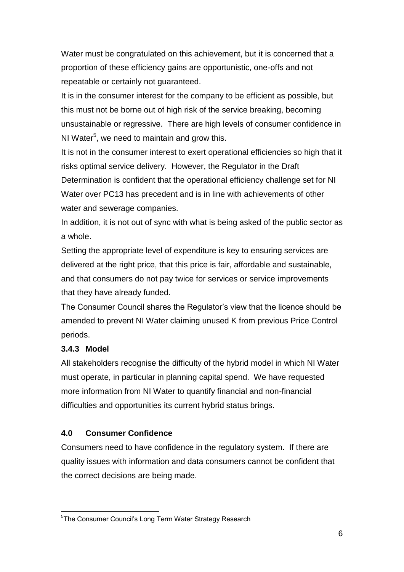Water must be congratulated on this achievement, but it is concerned that a proportion of these efficiency gains are opportunistic, one-offs and not repeatable or certainly not guaranteed.

It is in the consumer interest for the company to be efficient as possible, but this must not be borne out of high risk of the service breaking, becoming unsustainable or regressive. There are high levels of consumer confidence in NI Water<sup>5</sup>, we need to maintain and grow this.

It is not in the consumer interest to exert operational efficiencies so high that it risks optimal service delivery. However, the Regulator in the Draft Determination is confident that the operational efficiency challenge set for NI Water over PC13 has precedent and is in line with achievements of other water and sewerage companies.

In addition, it is not out of sync with what is being asked of the public sector as a whole.

Setting the appropriate level of expenditure is key to ensuring services are delivered at the right price, that this price is fair, affordable and sustainable, and that consumers do not pay twice for services or service improvements that they have already funded.

The Consumer Council shares the Regulator's view that the licence should be amended to prevent NI Water claiming unused K from previous Price Control periods.

## **3.4.3 Model**

All stakeholders recognise the difficulty of the hybrid model in which NI Water must operate, in particular in planning capital spend. We have requested more information from NI Water to quantify financial and non-financial difficulties and opportunities its current hybrid status brings.

## **4.0 Consumer Confidence**

Consumers need to have confidence in the regulatory system. If there are quality issues with information and data consumers cannot be confident that the correct decisions are being made.

 $\overline{a}$ <sup>5</sup>The Consumer Council's Long Term Water Strategy Research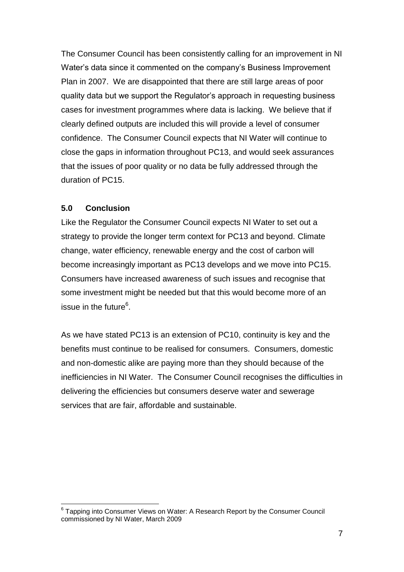The Consumer Council has been consistently calling for an improvement in NI Water's data since it commented on the company's Business Improvement Plan in 2007. We are disappointed that there are still large areas of poor quality data but we support the Regulator's approach in requesting business cases for investment programmes where data is lacking. We believe that if clearly defined outputs are included this will provide a level of consumer confidence. The Consumer Council expects that NI Water will continue to close the gaps in information throughout PC13, and would seek assurances that the issues of poor quality or no data be fully addressed through the duration of PC15.

#### **5.0 Conclusion**

 $\overline{\phantom{a}}$ 

Like the Regulator the Consumer Council expects NI Water to set out a strategy to provide the longer term context for PC13 and beyond. Climate change, water efficiency, renewable energy and the cost of carbon will become increasingly important as PC13 develops and we move into PC15. Consumers have increased awareness of such issues and recognise that some investment might be needed but that this would become more of an issue in the future $^6$ .

As we have stated PC13 is an extension of PC10, continuity is key and the benefits must continue to be realised for consumers. Consumers, domestic and non-domestic alike are paying more than they should because of the inefficiencies in NI Water. The Consumer Council recognises the difficulties in delivering the efficiencies but consumers deserve water and sewerage services that are fair, affordable and sustainable.

<sup>&</sup>lt;sup>6</sup> Tapping into Consumer Views on Water: A Research Report by the Consumer Council commissioned by NI Water, March 2009